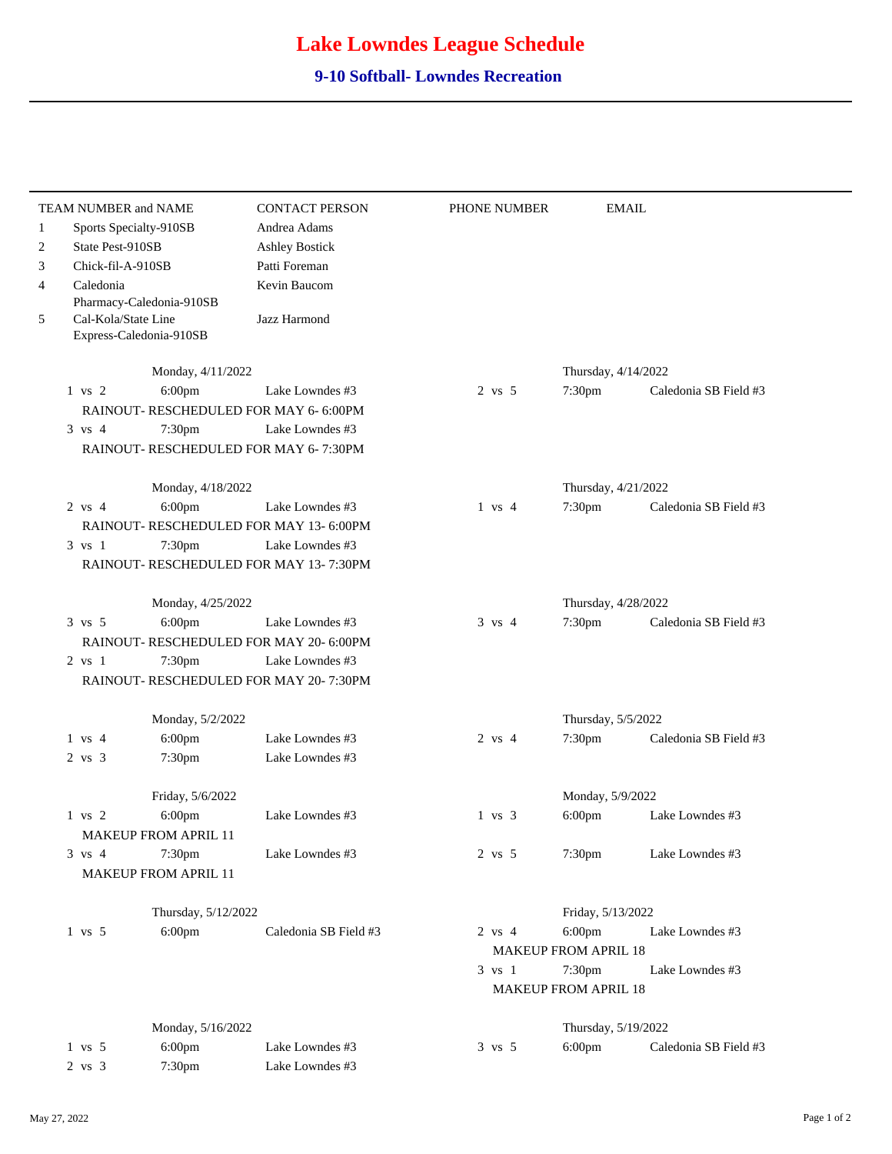## **Lake Lowndes League Schedule**

## **9-10 Softball- Lowndes Recreation**

|              |                                                                            |                   | TEAM NUMBER and NAME        | <b>CONTACT PERSON</b>                   | PHONE NUMBER      |                               | <b>EMAIL</b>          |
|--------------|----------------------------------------------------------------------------|-------------------|-----------------------------|-----------------------------------------|-------------------|-------------------------------|-----------------------|
| $\mathbf{1}$ | Sports Specialty-910SB                                                     |                   |                             | Andrea Adams                            |                   |                               |                       |
| 2            |                                                                            | State Pest-910SB  |                             | <b>Ashley Bostick</b>                   |                   |                               |                       |
| 3            |                                                                            | Chick-fil-A-910SB |                             | Patti Foreman                           |                   |                               |                       |
| 4            |                                                                            | Caledonia         |                             | Kevin Baucom                            |                   |                               |                       |
| 5            | Pharmacy-Caledonia-910SB<br>Cal-Kola/State Line<br>Express-Caledonia-910SB |                   |                             | Jazz Harmond                            |                   |                               |                       |
|              |                                                                            |                   |                             |                                         |                   |                               |                       |
|              |                                                                            |                   | Monday, 4/11/2022           |                                         |                   | Thursday, 4/14/2022           |                       |
|              | $1$ vs $2$                                                                 |                   | 6:00pm                      | Lake Lowndes #3                         | $2$ vs $5$        | 7:30pm                        | Caledonia SB Field #3 |
|              |                                                                            |                   |                             | RAINOUT- RESCHEDULED FOR MAY 6-6:00PM   |                   |                               |                       |
|              | $3 \text{ vs } 4$                                                          |                   | 7:30pm                      | Lake Lowndes #3                         |                   |                               |                       |
|              |                                                                            |                   |                             | RAINOUT- RESCHEDULED FOR MAY 6-7:30PM   |                   |                               |                       |
|              |                                                                            |                   | Monday, 4/18/2022           |                                         |                   | Thursday, 4/21/2022           |                       |
|              | $2 \text{ vs } 4$                                                          |                   | 6:00pm                      | Lake Lowndes #3                         | $1 \text{ vs } 4$ | 7:30pm                        | Caledonia SB Field #3 |
|              |                                                                            |                   |                             | RAINOUT- RESCHEDULED FOR MAY 13-6:00PM  |                   |                               |                       |
|              | 3 vs 1                                                                     |                   | 7:30pm                      | Lake Lowndes #3                         |                   |                               |                       |
|              |                                                                            |                   |                             | RAINOUT- RESCHEDULED FOR MAY 13-7:30PM  |                   |                               |                       |
|              |                                                                            |                   |                             |                                         |                   |                               |                       |
|              |                                                                            |                   | Monday, 4/25/2022           |                                         |                   | Thursday, 4/28/2022           |                       |
|              | $3 \text{ vs } 5$                                                          |                   | $6:00$ pm                   | Lake Lowndes #3                         | $3 \text{ vs } 4$ | 7:30pm                        | Caledonia SB Field #3 |
|              |                                                                            |                   |                             | RAINOUT- RESCHEDULED FOR MAY 20- 6:00PM |                   |                               |                       |
|              | $2 \text{ vs } 1$                                                          |                   | 7:30pm                      | Lake Lowndes #3                         |                   |                               |                       |
|              |                                                                            |                   |                             | RAINOUT-RESCHEDULED FOR MAY 20-7:30PM   |                   |                               |                       |
|              |                                                                            |                   | Monday, 5/2/2022            |                                         |                   | Thursday, 5/5/2022            |                       |
|              | $1 \text{ vs } 4$                                                          |                   | 6:00pm                      | Lake Lowndes #3                         | $2 \text{ vs } 4$ | 7:30pm                        | Caledonia SB Field #3 |
|              | $2 \text{ vs } 3$                                                          |                   | 7:30pm                      | Lake Lowndes #3                         |                   |                               |                       |
|              |                                                                            |                   |                             |                                         |                   |                               |                       |
|              | $1$ vs $2$                                                                 |                   | Friday, 5/6/2022<br>6:00pm  | Lake Lowndes #3                         | $1 \text{ vs } 3$ | Monday, 5/9/2022<br>$6:00$ pm | Lake Lowndes #3       |
|              |                                                                            |                   | <b>MAKEUP FROM APRIL 11</b> |                                         |                   |                               |                       |
|              | $3 \text{ vs } 4$                                                          |                   | 7:30 <sub>pm</sub>          | Lake Lowndes #3                         | 2 vs 5            | 7:30pm                        | Lake Lowndes #3       |
|              |                                                                            |                   | MAKEUP FROM APRIL 11        |                                         |                   |                               |                       |
|              |                                                                            |                   |                             |                                         |                   |                               |                       |
|              |                                                                            |                   | Thursday, 5/12/2022         |                                         |                   | Friday, 5/13/2022             |                       |
|              | $1$ vs $5$                                                                 |                   | 6:00pm                      | Caledonia SB Field #3                   | $2$ vs $4$        | $6:00$ pm                     | Lake Lowndes #3       |
|              |                                                                            |                   |                             |                                         |                   | <b>MAKEUP FROM APRIL 18</b>   |                       |
|              |                                                                            |                   |                             |                                         | $3$ vs $1$        | 7:30pm                        | Lake Lowndes #3       |
|              |                                                                            |                   |                             |                                         |                   | <b>MAKEUP FROM APRIL 18</b>   |                       |
|              |                                                                            |                   | Monday, 5/16/2022           |                                         |                   | Thursday, 5/19/2022           |                       |
|              | $1$ vs $5$                                                                 |                   | 6:00pm                      | Lake Lowndes #3                         | $3 \text{ vs } 5$ | $6:00$ pm                     | Caledonia SB Field #3 |
|              | 2 vs 3                                                                     |                   | 7:30pm                      | Lake Lowndes #3                         |                   |                               |                       |
|              |                                                                            |                   |                             |                                         |                   |                               |                       |

 $\overline{a}$